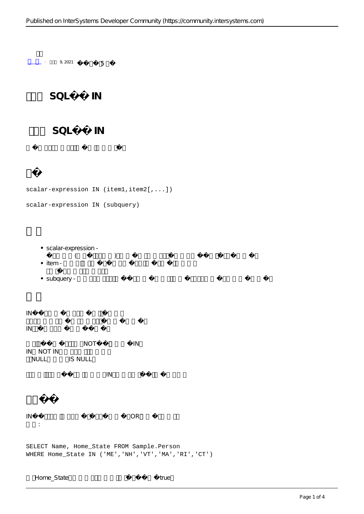$-$  9, 2021  $-$  5 SQL IN SQL IN scalar-expression IN (item1, item2[,...]) scalar-expression IN (subquery) scalar-expression -  $($  and  $)$ • item -• subquery -IN  $\blacksquare$ IN  $\blacksquare$ NOT IN IN NOT IN NULL<sub>3</sub><br>IS NULL  $\mathbb{N}$ IN OR 例如:

```
SELECT Name, Home_State FROM Sample.Person
WHERE Home_State IN ('ME','NH','VT','MA','RI','CT')
```

```
Home_State true
```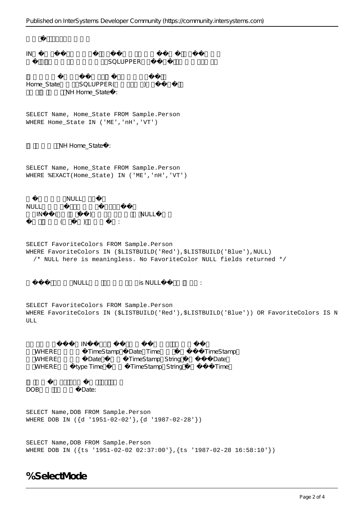IN  $\blacksquare$ 

```
SQLUPPER
```

```
Home State SQLUPPER( )
        NH Home State :
```
SELECT Name, Home\_State FROM Sample.Person WHERE Home\_State IN ('ME','nH','VT')

NH Home\_State :

```
SELECT Name, Home_State FROM Sample.Person
WHERE %EXACT(Home_State) IN ('ME','nH','VT')
```

|      | NULL |                   |      |  |
|------|------|-------------------|------|--|
| NULL |      |                   |      |  |
| IN   |      |                   | NULL |  |
|      |      | ٠<br>$\mathbf{r}$ |      |  |

SELECT FavoriteColors FROM Sample.Person WHERE FavoriteColors IN (\$LISTBUILD('Red'),\$LISTBUILD('Blue'),NULL) /\* NULL here is meaningless. No FavoriteColor NULL fields returned \*/

results NULL is NULL is NULL is NULL is  $\mathbf{r}$ 

SELECT FavoriteColors FROM Sample.Person WHERE FavoriteColors IN (\$LISTBUILD('Red'),\$LISTBUILD('Blue')) OR FavoriteColors IS N ULL

|       | IN        |                  |           |
|-------|-----------|------------------|-----------|
| WHERE | TimeStamp | Date Time        | TimeStamp |
| WHERE | Date      | TimeStamp String | Date      |
| WHERE | type Time | TimeStamp String | Time      |

DOB Date:

SELECT Name,DOB FROM Sample.Person WHERE DOB IN ({d '1951-02-02'},{d '1987-02-28'})

SELECT Name, DOB FROM Sample. Person WHERE DOB IN ({ts '1951-02-02 02:37:00'}, {ts '1987-02-28 16:58:10'})

## **%SelectMode**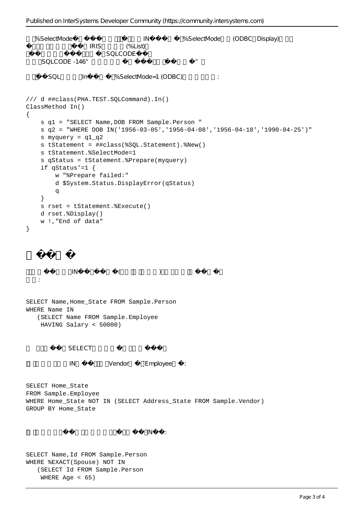```
如果%SelectMode设置为逻辑格式以外的值,那么IN谓词值必须以%SelectMode格式(ODBC或Display)指定。
                 IRIS (%List)
                     SQLCODE
    SQLCODE -146"
     SQL In %SelectMode=1 (ODBC) :
/// d ##class(PHA.TEST.SQLCommand).In()
ClassMethod In()
{
    s q1 = "SELECT Name,DOB FROM Sample.Person "
    s q2 = "WHERE DOB IN('1956-03-05','1956-04-08','1956-04-18','1990-04-25')"
    s myquery = q1_q2
    s tStatement = ##class(%SQL.Statement).%New()
    s tStatement.%SelectMode=1
    s qStatus = tStatement.%Prepare(myquery)
     if qStatus'=1 {
        w "%Prepare failed:" 
        d $System.Status.DisplayError(qStatus) 
        q
     }
    s rset = tStatement.%Execute()
    d rset.%Display()
    w !,"End of data"
}
\mathbb{N} (and \mathbb{N} )
例如:
SELECT Name,Home_State FROM Sample.Person
WHERE Name IN 
    (SELECT Name FROM Sample.Employee
    HAVING Salary < 50000)
           SELECT
           IN Vendor `Employee :
SELECT Home_State
FROM Sample.Employee
WHERE Home_State NOT IN (SELECT Address_State FROM Sample.Vendor)
GROUP BY Home_State
                                IN \tNSELECT Name, Id FROM Sample. Person
WHERE %EXACT(Spouse) NOT IN
    (SELECT Id FROM Sample.Person
    WHERE Age < 65)
```